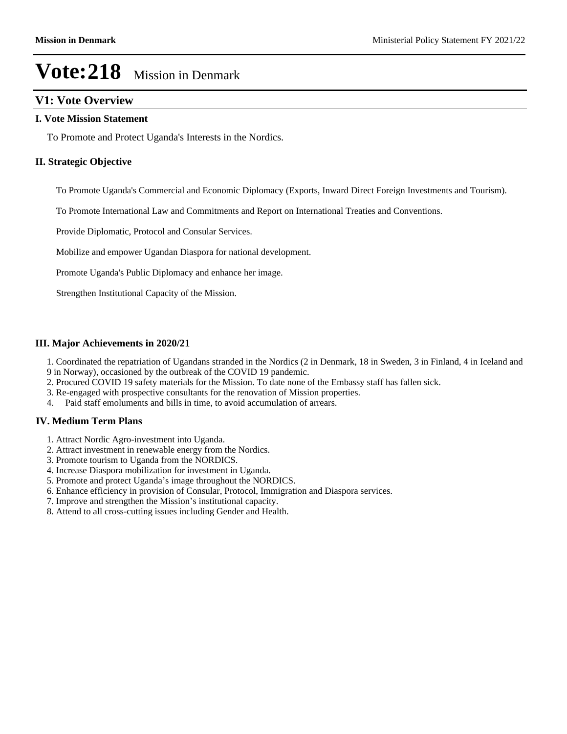## **V1: Vote Overview**

#### **I. Vote Mission Statement**

To Promote and Protect Uganda's Interests in the Nordics.

#### **II. Strategic Objective**

To Promote Uganda's Commercial and Economic Diplomacy (Exports, Inward Direct Foreign Investments and Tourism).

To Promote International Law and Commitments and Report on International Treaties and Conventions.

Provide Diplomatic, Protocol and Consular Services.

Mobilize and empower Ugandan Diaspora for national development.

Promote Uganda's Public Diplomacy and enhance her image.

Strengthen Institutional Capacity of the Mission.

#### **III. Major Achievements in 2020/21**

1. Coordinated the repatriation of Ugandans stranded in the Nordics (2 in Denmark, 18 in Sweden, 3 in Finland, 4 in Iceland and 9 in Norway), occasioned by the outbreak of the COVID 19 pandemic.

- 2. Procured COVID 19 safety materials for the Mission. To date none of the Embassy staff has fallen sick.
- 3. Re-engaged with prospective consultants for the renovation of Mission properties.
- 4. Paid staff emoluments and bills in time, to avoid accumulation of arrears.

### **IV. Medium Term Plans**

- 1. Attract Nordic Agro-investment into Uganda.
- 2. Attract investment in renewable energy from the Nordics.
- 3. Promote tourism to Uganda from the NORDICS.
- 4. Increase Diaspora mobilization for investment in Uganda.
- 5. Promote and protect Uganda's image throughout the NORDICS.
- 6. Enhance efficiency in provision of Consular, Protocol, Immigration and Diaspora services.
- 7. Improve and strengthen the Mission's institutional capacity.
- 8. Attend to all cross-cutting issues including Gender and Health.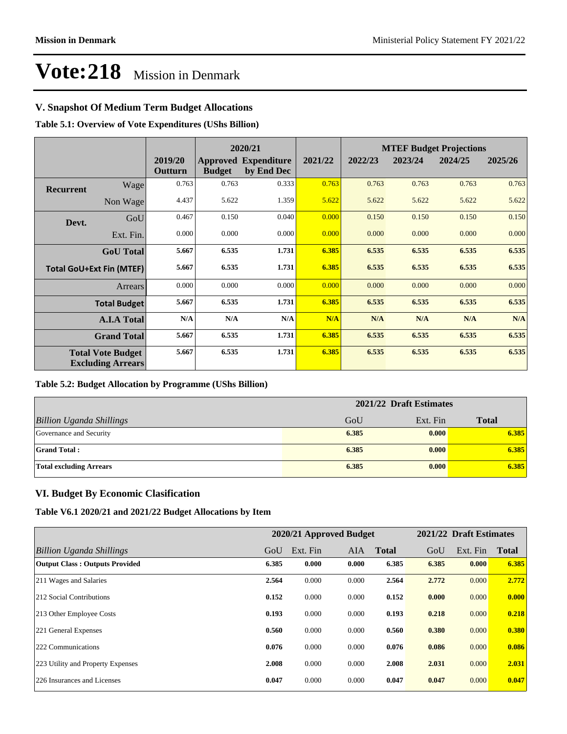## **V. Snapshot Of Medium Term Budget Allocations**

**Table 5.1: Overview of Vote Expenditures (UShs Billion)**

|                                                      | 2020/21                         |                    |               | <b>MTEF Budget Projections</b>            |         |         |         |         |         |
|------------------------------------------------------|---------------------------------|--------------------|---------------|-------------------------------------------|---------|---------|---------|---------|---------|
|                                                      |                                 | 2019/20<br>Outturn | <b>Budget</b> | <b>Approved Expenditure</b><br>by End Dec | 2021/22 | 2022/23 | 2023/24 | 2024/25 | 2025/26 |
| <b>Recurrent</b>                                     | Wage                            | 0.763              | 0.763         | 0.333                                     | 0.763   | 0.763   | 0.763   | 0.763   | 0.763   |
|                                                      | Non Wage                        | 4.437              | 5.622         | 1.359                                     | 5.622   | 5.622   | 5.622   | 5.622   | 5.622   |
| Devt.                                                | GoU                             | 0.467              | 0.150         | 0.040                                     | 0.000   | 0.150   | 0.150   | 0.150   | 0.150   |
|                                                      | Ext. Fin.                       | 0.000              | 0.000         | 0.000                                     | 0.000   | 0.000   | 0.000   | 0.000   | 0.000   |
|                                                      | <b>GoU</b> Total                | 5.667              | 6.535         | 1.731                                     | 6.385   | 6.535   | 6.535   | 6.535   | 6.535   |
|                                                      | <b>Total GoU+Ext Fin (MTEF)</b> | 5.667              | 6.535         | 1.731                                     | 6.385   | 6.535   | 6.535   | 6.535   | 6.535   |
|                                                      | <b>Arrears</b>                  | 0.000              | 0.000         | 0.000                                     | 0.000   | 0.000   | 0.000   | 0.000   | 0.000   |
|                                                      | <b>Total Budget</b>             | 5.667              | 6.535         | 1.731                                     | 6.385   | 6.535   | 6.535   | 6.535   | 6.535   |
|                                                      | <b>A.I.A Total</b>              | N/A                | N/A           | N/A                                       | N/A     | N/A     | N/A     | N/A     | N/A     |
|                                                      | <b>Grand Total</b>              | 5.667              | 6.535         | 1.731                                     | 6.385   | 6.535   | 6.535   | 6.535   | 6.535   |
| <b>Total Vote Budget</b><br><b>Excluding Arrears</b> |                                 | 5.667              | 6.535         | 1.731                                     | 6.385   | 6.535   | 6.535   | 6.535   | 6.535   |

### **Table 5.2: Budget Allocation by Programme (UShs Billion)**

|                                 | 2021/22 Draft Estimates |          |              |  |  |
|---------------------------------|-------------------------|----------|--------------|--|--|
| <b>Billion Uganda Shillings</b> | GoU                     | Ext. Fin | <b>Total</b> |  |  |
| Governance and Security         | 6.385                   | 0.000    | 6.385        |  |  |
| <b>Grand Total:</b>             | 6.385                   | 0.000    | 6.385        |  |  |
| <b>Total excluding Arrears</b>  | 6.385                   | 0.000    | 6.385        |  |  |

### **VI. Budget By Economic Clasification**

**Table V6.1 2020/21 and 2021/22 Budget Allocations by Item**

|                                       | 2020/21 Approved Budget |          |       | 2021/22 Draft Estimates |       |          |              |
|---------------------------------------|-------------------------|----------|-------|-------------------------|-------|----------|--------------|
| Billion Uganda Shillings              | GoU                     | Ext. Fin | AIA   | <b>Total</b>            | GoU   | Ext. Fin | <b>Total</b> |
| <b>Output Class: Outputs Provided</b> | 6.385                   | 0.000    | 0.000 | 6.385                   | 6.385 | 0.000    | 6.385        |
| 211 Wages and Salaries                | 2.564                   | 0.000    | 0.000 | 2.564                   | 2.772 | 0.000    | 2.772        |
| 212 Social Contributions              | 0.152                   | 0.000    | 0.000 | 0.152                   | 0.000 | 0.000    | 0.000        |
| 213 Other Employee Costs              | 0.193                   | 0.000    | 0.000 | 0.193                   | 0.218 | 0.000    | 0.218        |
| 221 General Expenses                  | 0.560                   | 0.000    | 0.000 | 0.560                   | 0.380 | 0.000    | 0.380        |
| 222 Communications                    | 0.076                   | 0.000    | 0.000 | 0.076                   | 0.086 | 0.000    | 0.086        |
| 223 Utility and Property Expenses     | 2.008                   | 0.000    | 0.000 | 2.008                   | 2.031 | 0.000    | 2.031        |
| 226 Insurances and Licenses           | 0.047                   | 0.000    | 0.000 | 0.047                   | 0.047 | 0.000    | 0.047        |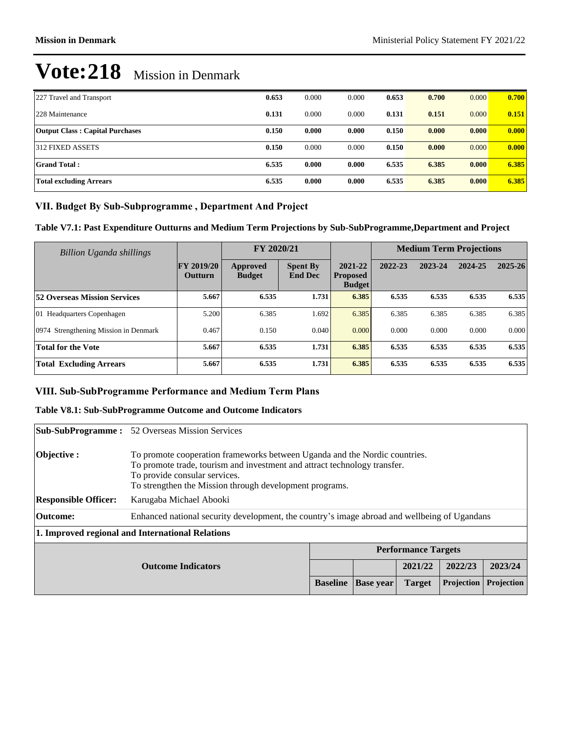| 227 Travel and Transport               | 0.653 | 0.000 | 0.000 | 0.653 | 0.700 | 0.000 | 0.700 |
|----------------------------------------|-------|-------|-------|-------|-------|-------|-------|
| 228 Maintenance                        | 0.131 | 0.000 | 0.000 | 0.131 | 0.151 | 0.000 | 0.151 |
| <b>Output Class: Capital Purchases</b> | 0.150 | 0.000 | 0.000 | 0.150 | 0.000 | 0.000 | 0.000 |
| 312 FIXED ASSETS                       | 0.150 | 0.000 | 0.000 | 0.150 | 0.000 | 0.000 | 0.000 |
| <b>Grand Total:</b>                    | 6.535 | 0.000 | 0.000 | 6.535 | 6.385 | 0.000 | 6.385 |
| Total excluding Arrears                | 6.535 | 0.000 | 0.000 | 6.535 | 6.385 | 0.000 | 6.385 |

## VII. Budget By Sub-Subprogramme, Department And Project

**Table V7.1: Past Expenditure Outturns and Medium Term Projections by Sub-SubProgramme,Department and Project**

| Billion Uganda shillings              |                                     | FY 2020/21                |                                   |                                             | <b>Medium Term Projections</b> |         |         |             |
|---------------------------------------|-------------------------------------|---------------------------|-----------------------------------|---------------------------------------------|--------------------------------|---------|---------|-------------|
|                                       | <b>FY 2019/20</b><br><b>Outturn</b> | Approved<br><b>Budget</b> | <b>Spent By</b><br><b>End Dec</b> | 2021-22<br><b>Proposed</b><br><b>Budget</b> | 2022-23                        | 2023-24 | 2024-25 | $2025 - 26$ |
| <b>52 Overseas Mission Services</b>   | 5.667                               | 6.535                     | 1.731                             | 6.385                                       | 6.535                          | 6.535   | 6.535   | 6.535       |
| 01 Headquarters Copenhagen            | 5.200                               | 6.385                     | .692                              | 6.385                                       | 6.385                          | 6.385   | 6.385   | 6.385       |
| 0974 Strengthening Mission in Denmark | 0.467                               | 0.150                     | 0.040                             | 0.000                                       | 0.000                          | 0.000   | 0.000   | 0.000       |
| <b>Total for the Vote</b>             | 5.667                               | 6.535                     | 1.731                             | 6.385                                       | 6.535                          | 6.535   | 6.535   | 6.535       |
| <b>Total Excluding Arrears</b>        | 5.667                               | 6.535                     | 1.731                             | 6.385                                       | 6.535                          | 6.535   | 6.535   | 6.535       |

## VIII. Sub-SubProgramme Performance and Medium Term Plans

## **Table V8.1: Sub-SubProgramme Outcome and Outcome Indicators**

|                                                  | <b>Sub-SubProgramme:</b> 52 Overseas Mission Services                                                                                                                                                                                               |                 |                  |               |            |            |
|--------------------------------------------------|-----------------------------------------------------------------------------------------------------------------------------------------------------------------------------------------------------------------------------------------------------|-----------------|------------------|---------------|------------|------------|
| <b>Objective</b> :                               | To promote cooperation frameworks between Uganda and the Nordic countries.<br>To promote trade, tourism and investment and attract technology transfer.<br>To provide consular services.<br>To strengthen the Mission through development programs. |                 |                  |               |            |            |
| <b>Responsible Officer:</b>                      | Karugaba Michael Abooki                                                                                                                                                                                                                             |                 |                  |               |            |            |
| Outcome:                                         | Enhanced national security development, the country's image abroad and wellbeing of Ugandans                                                                                                                                                        |                 |                  |               |            |            |
| 1. Improved regional and International Relations |                                                                                                                                                                                                                                                     |                 |                  |               |            |            |
|                                                  | <b>Performance Targets</b>                                                                                                                                                                                                                          |                 |                  |               |            |            |
|                                                  | <b>Outcome Indicators</b>                                                                                                                                                                                                                           |                 |                  | 2021/22       | 2022/23    | 2023/24    |
|                                                  |                                                                                                                                                                                                                                                     | <b>Baseline</b> | <b>Base</b> year | <b>Target</b> | Projection | Projection |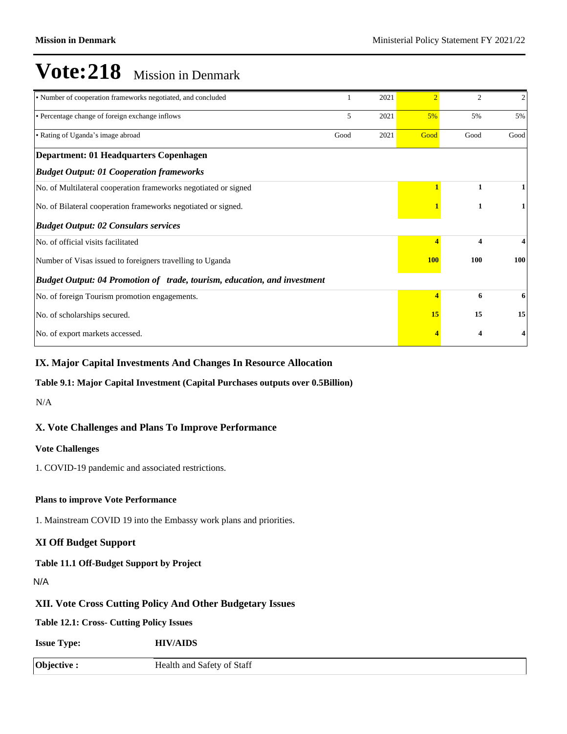| • Number of cooperation frameworks negotiated, and concluded             |      | 2021 | $\mathcal{D}$ | 2                       | $\overline{2}$ |
|--------------------------------------------------------------------------|------|------|---------------|-------------------------|----------------|
| • Percentage change of foreign exchange inflows                          | 5    | 2021 | 5%            | 5%                      | 5%             |
| • Rating of Uganda's image abroad                                        | Good | 2021 | Good          | Good                    | Good           |
| Department: 01 Headquarters Copenhagen                                   |      |      |               |                         |                |
| <b>Budget Output: 01 Cooperation frameworks</b>                          |      |      |               |                         |                |
| No. of Multilateral cooperation frameworks negotiated or signed          |      |      |               | 1                       |                |
| No. of Bilateral cooperation frameworks negotiated or signed.            |      |      |               | 1                       |                |
| <b>Budget Output: 02 Consulars services</b>                              |      |      |               |                         |                |
| No. of official visits facilitated                                       |      |      |               | $\overline{\mathbf{4}}$ | 4              |
| Number of Visas issued to foreigners travelling to Uganda                |      |      |               | 100                     | 100            |
| Budget Output: 04 Promotion of trade, tourism, education, and investment |      |      |               |                         |                |
| No. of foreign Tourism promotion engagements.                            |      |      | 4             | 6                       | 6              |
| No. of scholarships secured.                                             |      |      |               | 15                      | 15             |
| No. of export markets accessed.                                          |      |      |               | 4                       |                |

#### **IX. Major Capital Investments And Changes In Resource Allocation**

#### **Table 9.1: Major Capital Investment (Capital Purchases outputs over 0.5Billion)**

N/A

### **X. Vote Challenges and Plans To Improve Performance**

#### **Vote Challenges**

1. COVID-19 pandemic and associated restrictions.

#### **Plans to improve Vote Performance**

1. Mainstream COVID 19 into the Embassy work plans and priorities.

#### **XI Off Budget Support**

#### **Table 11.1 Off-Budget Support by Project**

N/A

## **XII. Vote Cross Cutting Policy And Other Budgetary Issues**

**Table 12.1: Cross- Cutting Policy Issues**

**Issue Type: HIV/AIDS**

**Objective :** Health and Safety of Staff